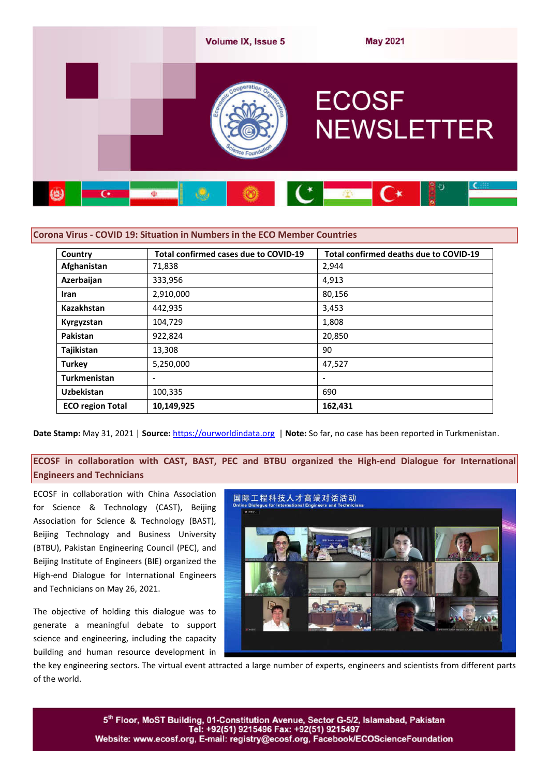

| Country                 | Total confirmed cases due to COVID-19 | Total confirmed deaths due to COVID-19 |
|-------------------------|---------------------------------------|----------------------------------------|
| Afghanistan             | 71,838                                | 2,944                                  |
| Azerbaijan              | 333,956                               | 4,913                                  |
| Iran                    | 2,910,000                             | 80,156                                 |
| Kazakhstan              | 442,935                               | 3,453                                  |
| Kyrgyzstan              | 104,729                               | 1,808                                  |
| Pakistan                | 922,824                               | 20,850                                 |
| Tajikistan              | 13,308                                | 90                                     |
| <b>Turkey</b>           | 5,250,000                             | 47,527                                 |
| <b>Turkmenistan</b>     |                                       | $\overline{\phantom{a}}$               |
| <b>Uzbekistan</b>       | 100,335                               | 690                                    |
| <b>ECO region Total</b> | 10,149,925                            | 162,431                                |

**Date Stamp:** May 31, 2021 | **Source:** https://ourworldindata.org | **Note:** So far, no case has been reported in Turkmenistan.

**ECOSF in collaboration with CAST, BAST, PEC and BTBU organized the High-end Dialogue for International Engineers and Technicians**

ECOSF in collaboration with China Association for Science & Technology (CAST), Beijing Association for Science & Technology (BAST), Beijing Technology and Business University (BTBU), Pakistan Engineering Council (PEC), and Beijing Institute of Engineers (BIE) organized the High-end Dialogue for International Engineers and Technicians on May 26, 2021.

The objective of holding this dialogue was to generate a meaningful debate to support science and engineering, including the capacity building and human resource development in



the key engineering sectors. The virtual event attracted a large number of experts, engineers and scientists from different parts of the world.

> 5th Floor, MoST Building, 01-Constitution Avenue, Sector G-5/2, Islamabad, Pakistan Tel: +92(51) 9215496 Fax: +92(51) 9215497 Website: www.ecosf.org, E-mail: registry@ecosf.org, Facebook/ECOScienceFoundation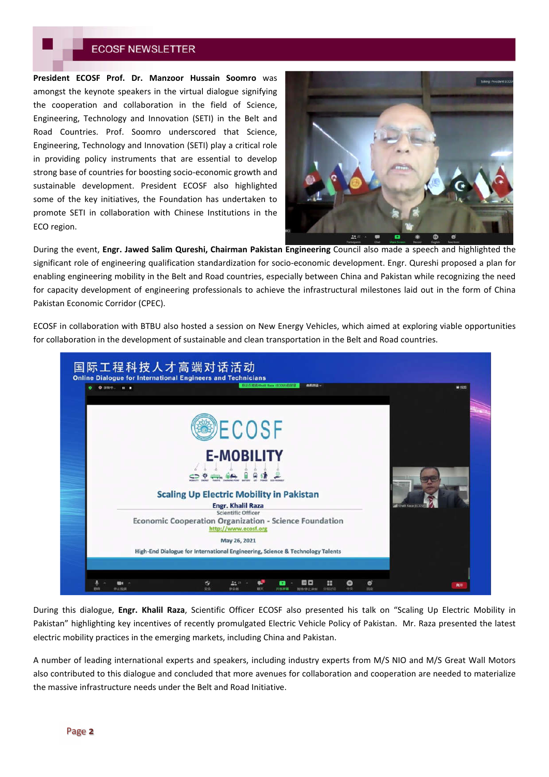**President ECOSF Prof. Dr. Manzoor Hussain Soomro** was amongst the keynote speakers in the virtual dialogue signifying the cooperation and collaboration in the field of Science, Engineering, Technology and Innovation (SETI) in the Belt and Road Countries. Prof. Soomro underscored that Science, Engineering, Technology and Innovation (SETI) play a critical role in providing policy instruments that are essential to develop strong base of countries for boosting socio-economic growth and sustainable development. President ECOSF also highlighted some of the key initiatives, the Foundation has undertaken to promote SETI in collaboration with Chinese Institutions in the ECO region.



During the event, **Engr. Jawed Salim Qureshi, Chairman Pakistan Engineering** Council also made a speech and highlighted the significant role of engineering qualification standardization for socio-economic development. Engr. Qureshi proposed a plan for enabling engineering mobility in the Belt and Road countries, especially between China and Pakistan while recognizing the need for capacity development of engineering professionals to achieve the infrastructural milestones laid out in the form of China Pakistan Economic Corridor (CPEC).

ECOSF in collaboration with BTBU also hosted a session on New Energy Vehicles, which aimed at exploring viable opportunities for collaboration in the development of sustainable and clean transportation in the Belt and Road countries.



During this dialogue, **Engr. Khalil Raza**, Scientific Officer ECOSF also presented his talk on "Scaling Up Electric Mobility in Pakistan" highlighting key incentives of recently promulgated Electric Vehicle Policy of Pakistan. Mr. Raza presented the latest electric mobility practices in the emerging markets, including China and Pakistan.

A number of leading international experts and speakers, including industry experts from M/S NIO and M/S Great Wall Motors also contributed to this dialogue and concluded that more avenues for collaboration and cooperation are needed to materialize the massive infrastructure needs under the Belt and Road Initiative.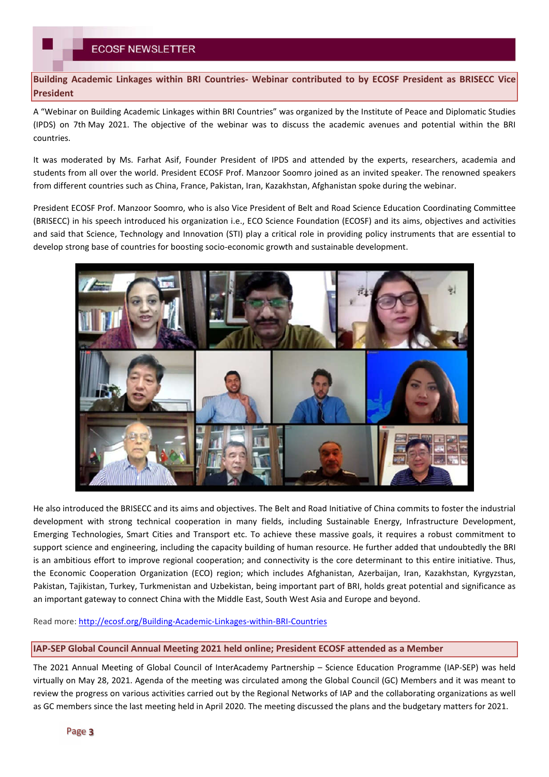**Building Academic Linkages within BRI Countries- Webinar contributed to by ECOSF President as BRISECC Vice President**

A "Webinar on Building Academic Linkages within BRI Countries" was organized by the Institute of Peace and Diplomatic Studies (IPDS) on 7th May 2021. The objective of the webinar was to discuss the academic avenues and potential within the BRI countries.

It was moderated by Ms. Farhat Asif, Founder President of IPDS and attended by the experts, researchers, academia and students from all over the world. President ECOSF Prof. Manzoor Soomro joined as an invited speaker. The renowned speakers from different countries such as China, France, Pakistan, Iran, Kazakhstan, Afghanistan spoke during the webinar.

President ECOSF Prof. Manzoor Soomro, who is also Vice President of Belt and Road Science Education Coordinating Committee (BRISECC) in his speech introduced his organization i.e., ECO Science Foundation (ECOSF) and its aims, objectives and activities and said that Science, Technology and Innovation (STI) play a critical role in providing policy instruments that are essential to develop strong base of countries for boosting socio-economic growth and sustainable development.



He also introduced the BRISECC and its aims and objectives. The Belt and Road Initiative of China commits to foster the industrial development with strong technical cooperation in many fields, including Sustainable Energy, Infrastructure Development, Emerging Technologies, Smart Cities and Transport etc. To achieve these massive goals, it requires a robust commitment to support science and engineering, including the capacity building of human resource. He further added that undoubtedly the BRI is an ambitious effort to improve regional cooperation; and connectivity is the core determinant to this entire initiative. Thus, the Economic Cooperation Organization (ECO) region; which includes Afghanistan, Azerbaijan, Iran, Kazakhstan, Kyrgyzstan, Pakistan, Tajikistan, Turkey, Turkmenistan and Uzbekistan, being important part of BRI, holds great potential and significance as an important gateway to connect China with the Middle East, South West Asia and Europe and beyond.

Read more: http://ecosf.org/Building-Academic-Linkages-within-BRI-Countries

## **IAP-SEP Global Council Annual Meeting 2021 held online; President ECOSF attended as a Member**

The 2021 Annual Meeting of Global Council of InterAcademy Partnership – Science Education Programme (IAP-SEP) was held virtually on May 28, 2021. Agenda of the meeting was circulated among the Global Council (GC) Members and it was meant to review the progress on various activities carried out by the Regional Networks of IAP and the collaborating organizations as well as GC members since the last meeting held in April 2020. The meeting discussed the plans and the budgetary matters for 2021.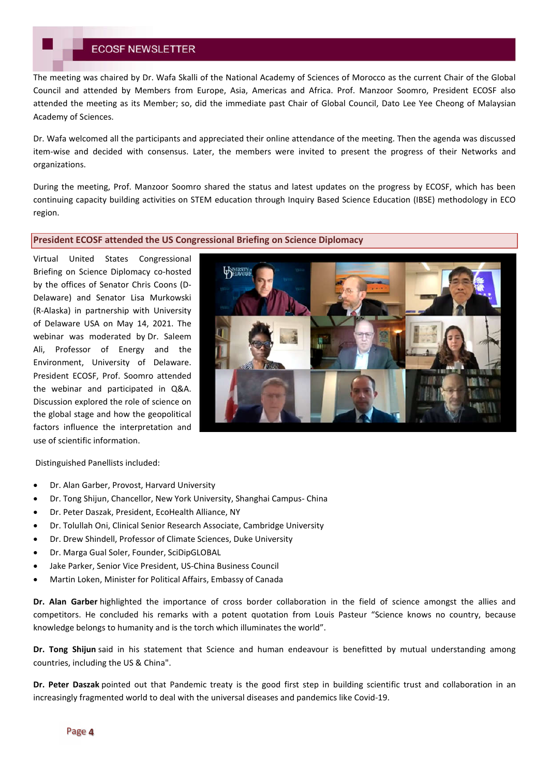The meeting was chaired by Dr. Wafa Skalli of the National Academy of Sciences of Morocco as the current Chair of the Global Council and attended by Members from Europe, Asia, Americas and Africa. Prof. Manzoor Soomro, President ECOSF also attended the meeting as its Member; so, did the immediate past Chair of Global Council, Dato Lee Yee Cheong of Malaysian Academy of Sciences.

Dr. Wafa welcomed all the participants and appreciated their online attendance of the meeting. Then the agenda was discussed item-wise and decided with consensus. Later, the members were invited to present the progress of their Networks and organizations.

During the meeting, Prof. Manzoor Soomro shared the status and latest updates on the progress by ECOSF, which has been continuing capacity building activities on STEM education through Inquiry Based Science Education (IBSE) methodology in ECO region.

#### **President ECOSF attended the US Congressional Briefing on Science Diplomacy**

Virtual United States Congressional Briefing on Science Diplomacy co-hosted by the offices of Senator Chris Coons (D-Delaware) and Senator Lisa Murkowski (R-Alaska) in partnership with University of Delaware USA on May 14, 2021. The webinar was moderated by Dr. Saleem Ali, Professor of Energy and the Environment, University of Delaware. President ECOSF, Prof. Soomro attended the webinar and participated in Q&A. Discussion explored the role of science on the global stage and how the geopolitical factors influence the interpretation and use of scientific information.



Distinguished Panellists included:

- Dr. Alan Garber, Provost, Harvard University
- Dr. Tong Shijun, Chancellor, New York University, Shanghai Campus- China
- Dr. Peter Daszak, President, EcoHealth Alliance, NY
- Dr. Tolullah Oni, Clinical Senior Research Associate, Cambridge University
- Dr. Drew Shindell, Professor of Climate Sciences, Duke University
- Dr. Marga Gual Soler, Founder, SciDipGLOBAL
- Jake Parker, Senior Vice President, US-China Business Council
- Martin Loken, Minister for Political Affairs, Embassy of Canada

**Dr. Alan Garber** highlighted the importance of cross border collaboration in the field of science amongst the allies and competitors. He concluded his remarks with a potent quotation from Louis Pasteur "Science knows no country, because knowledge belongs to humanity and is the torch which illuminates the world".

**Dr. Tong Shijun** said in his statement that Science and human endeavour is benefitted by mutual understanding among countries, including the US & China".

**Dr. Peter Daszak** pointed out that Pandemic treaty is the good first step in building scientific trust and collaboration in an increasingly fragmented world to deal with the universal diseases and pandemics like Covid-19.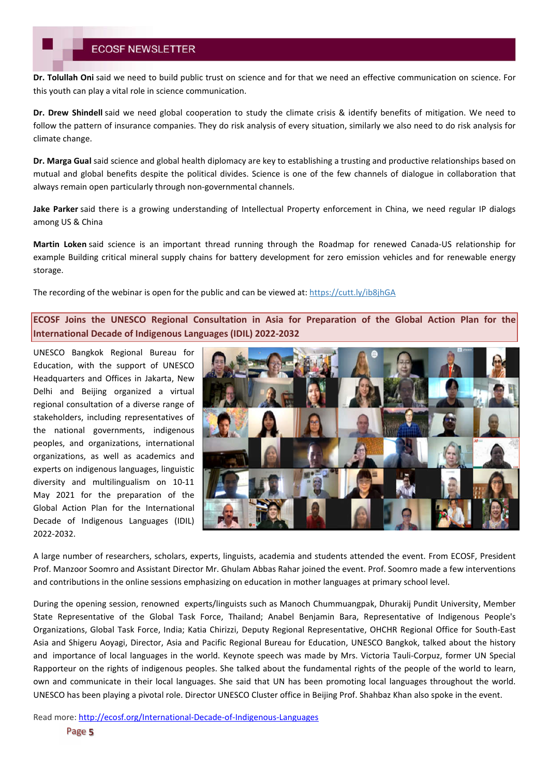**Dr. Tolullah Oni** said we need to build public trust on science and for that we need an effective communication on science. For this youth can play a vital role in science communication.

**Dr. Drew Shindell** said we need global cooperation to study the climate crisis & identify benefits of mitigation. We need to follow the pattern of insurance companies. They do risk analysis of every situation, similarly we also need to do risk analysis for climate change.

**Dr. Marga Gual** said science and global health diplomacy are key to establishing a trusting and productive relationships based on mutual and global benefits despite the political divides. Science is one of the few channels of dialogue in collaboration that always remain open particularly through non-governmental channels.

**Jake Parker** said there is a growing understanding of Intellectual Property enforcement in China, we need regular IP dialogs among US & China

**Martin Loken** said science is an important thread running through the Roadmap for renewed Canada-US relationship for example Building critical mineral supply chains for battery development for zero emission vehicles and for renewable energy storage.

The recording of the webinar is open for the public and can be viewed at: https://cutt.ly/ib8jhGA

**ECOSF Joins the UNESCO Regional Consultation in Asia for Preparation of the Global Action Plan for the International Decade of Indigenous Languages (IDIL) 2022-2032**

UNESCO Bangkok Regional Bureau for Education, with the support of UNESCO Headquarters and Offices in Jakarta, New Delhi and Beijing organized a virtual regional consultation of a diverse range of stakeholders, including representatives of the national governments, indigenous peoples, and organizations, international organizations, as well as academics and experts on indigenous languages, linguistic diversity and multilingualism on 10-11 May 2021 for the preparation of the Global Action Plan for the International Decade of Indigenous Languages (IDIL) 2022-2032.



A large number of researchers, scholars, experts, linguists, academia and students attended the event. From ECOSF, President Prof. Manzoor Soomro and Assistant Director Mr. Ghulam Abbas Rahar joined the event. Prof. Soomro made a few interventions and contributions in the online sessions emphasizing on education in mother languages at primary school level.

During the opening session, renowned experts/linguists such as Manoch Chummuangpak, Dhurakij Pundit University, Member State Representative of the Global Task Force, Thailand; Anabel Benjamin Bara, Representative of Indigenous People's Organizations, Global Task Force, India; Katia Chirizzi, Deputy Regional Representative, OHCHR Regional Office for South-East Asia and Shigeru Aoyagi, Director, Asia and Pacific Regional Bureau for Education, UNESCO Bangkok, talked about the history and importance of local languages in the world. Keynote speech was made by Mrs. Victoria Tauli-Corpuz, former UN Special Rapporteur on the rights of indigenous peoples. She talked about the fundamental rights of the people of the world to learn, own and communicate in their local languages. She said that UN has been promoting local languages throughout the world. UNESCO has been playing a pivotal role. Director UNESCO Cluster office in Beijing Prof. Shahbaz Khan also spoke in the event.

Read more: http://ecosf.org/International-Decade-of-Indigenous-Languages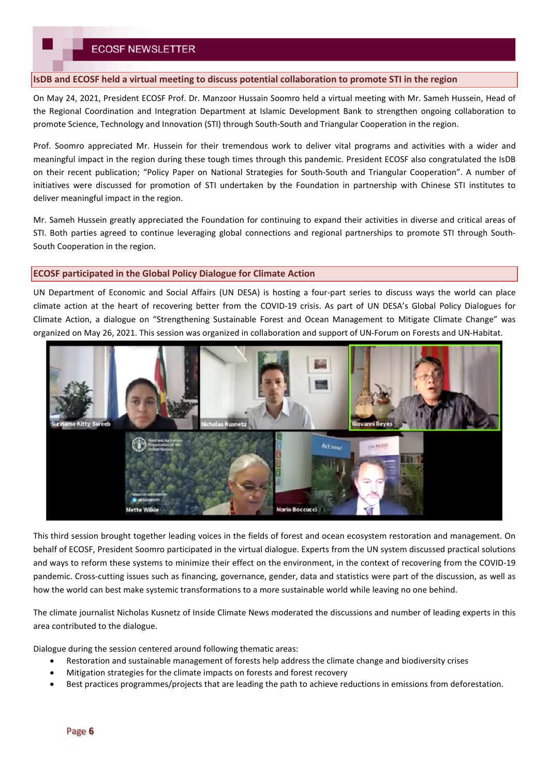#### **IsDB and ECOSF held a virtual meeting to discuss potential collaboration to promote STI in the region**

On May 24, 2021, President ECOSF Prof. Dr. Manzoor Hussain Soomro held a virtual meeting with Mr. Sameh Hussein, Head of the Regional Coordination and Integration Department at Islamic Development Bank to strengthen ongoing collaboration to promote Science, Technology and Innovation (STI) through South-South and Triangular Cooperation in the region.

Prof. Soomro appreciated Mr. Hussein for their tremendous work to deliver vital programs and activities with a wider and meaningful impact in the region during these tough times through this pandemic. President ECOSF also congratulated the IsDB on their recent publication; "Policy Paper on National Strategies for South-South and Triangular Cooperation". A number of initiatives were discussed for promotion of STI undertaken by the Foundation in partnership with Chinese STI institutes to deliver meaningful impact in the region.

Mr. Sameh Hussein greatly appreciated the Foundation for continuing to expand their activities in diverse and critical areas of STI. Both parties agreed to continue leveraging global connections and regional partnerships to promote STI through South-South Cooperation in the region.

#### **ECOSF participated in the Global Policy Dialogue for Climate Action**

UN Department of Economic and Social Affairs (UN DESA) is hosting a four-part series to discuss ways the world can place climate action at the heart of recovering better from the COVID-19 crisis. As part of UN DESA's Global Policy Dialogues for Climate Action, a dialogue on "Strengthening Sustainable Forest and Ocean Management to Mitigate Climate Change" was organized on May 26, 2021. This session was organized in collaboration and support of UN-Forum on Forests and UN-Habitat.



This third session brought together leading voices in the fields of forest and ocean ecosystem restoration and management. On behalf of ECOSF, President Soomro participated in the virtual dialogue. Experts from the UN system discussed practical solutions and ways to reform these systems to minimize their effect on the environment, in the context of recovering from the COVID-19 pandemic. Cross-cutting issues such as financing, governance, gender, data and statistics were part of the discussion, as well as how the world can best make systemic transformations to a more sustainable world while leaving no one behind.

The climate journalist Nicholas Kusnetz of Inside Climate News moderated the discussions and number of leading experts in this area contributed to the dialogue.

Dialogue during the session centered around following thematic areas:

- Restoration and sustainable management of forests help address the climate change and biodiversity crises
- Mitigation strategies for the climate impacts on forests and forest recovery
- Best practices programmes/projects that are leading the path to achieve reductions in emissions from deforestation.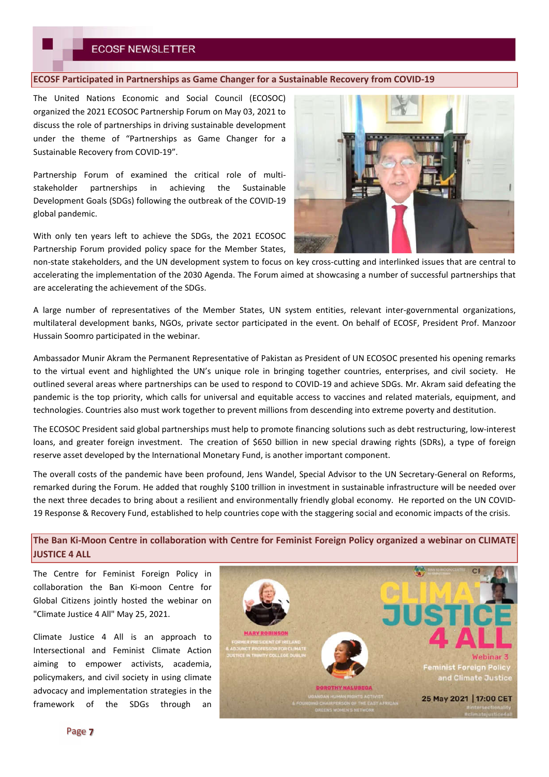#### **ECOSF Participated in Partnerships as Game Changer for a Sustainable Recovery from COVID-19**

The United Nations Economic and Social Council (ECOSOC) organized the 2021 ECOSOC Partnership Forum on May 03, 2021 to discuss the role of partnerships in driving sustainable development under the theme of "Partnerships as Game Changer for a Sustainable Recovery from COVID-19".

Partnership Forum of examined the critical role of multistakeholder partnerships in achieving the Sustainable Development Goals (SDGs) following the outbreak of the COVID-19 global pandemic.

With only ten years left to achieve the SDGs, the 2021 ECOSOC Partnership Forum provided policy space for the Member States,



non-state stakeholders, and the UN development system to focus on key cross-cutting and interlinked issues that are central to accelerating the implementation of the 2030 Agenda. The Forum aimed at showcasing a number of successful partnerships that are accelerating the achievement of the SDGs.

A large number of representatives of the Member States, UN system entities, relevant inter-governmental organizations, multilateral development banks, NGOs, private sector participated in the event. On behalf of ECOSF, President Prof. Manzoor Hussain Soomro participated in the webinar.

Ambassador Munir Akram the Permanent Representative of Pakistan as President of UN ECOSOC presented his opening remarks to the virtual event and highlighted the UN's unique role in bringing together countries, enterprises, and civil society. He outlined several areas where partnerships can be used to respond to COVID-19 and achieve SDGs. Mr. Akram said defeating the pandemic is the top priority, which calls for universal and equitable access to vaccines and related materials, equipment, and technologies. Countries also must work together to prevent millions from descending into extreme poverty and destitution.

The ECOSOC President said global partnerships must help to promote financing solutions such as debt restructuring, low-interest loans, and greater foreign investment. The creation of \$650 billion in new special drawing rights (SDRs), a type of foreign reserve asset developed by the International Monetary Fund, is another important component.

The overall costs of the pandemic have been profound, Jens Wandel, Special Advisor to the UN Secretary-General on Reforms, remarked during the Forum. He added that roughly \$100 trillion in investment in sustainable infrastructure will be needed over the next three decades to bring about a resilient and environmentally friendly global economy. He reported on the UN COVID-19 Response & Recovery Fund, established to help countries cope with the staggering social and economic impacts of the crisis.

**The Ban Ki-Moon Centre in collaboration with Centre for Feminist Foreign Policy organized a webinar on CLIMATE JUSTICE 4 ALL**

The Centre for Feminist Foreign Policy in collaboration the Ban Ki-moon Centre for Global Citizens jointly hosted the webinar on "Climate Justice 4 All" May 25, 2021.

Climate Justice 4 All is an approach to Intersectional and Feminist Climate Action aiming to empower activists, academia, policymakers, and civil society in using climate advocacy and implementation strategies in the framework of the SDGs through an

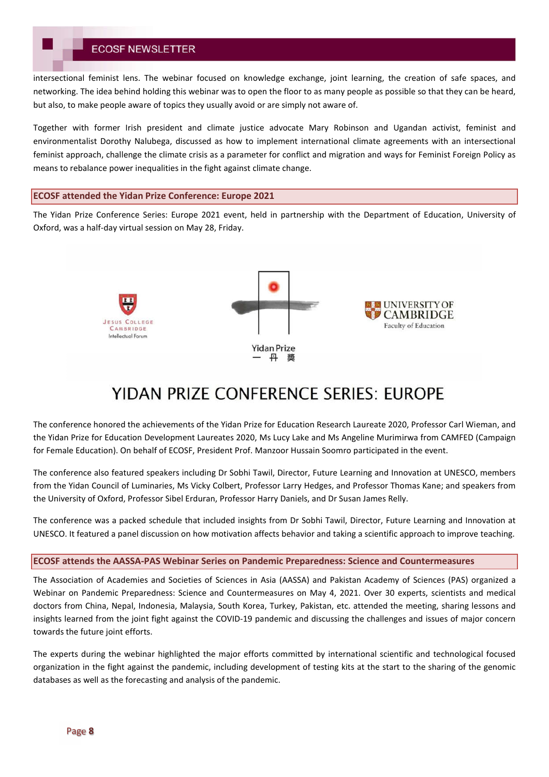intersectional feminist lens. The webinar focused on knowledge exchange, joint learning, the creation of safe spaces, and networking. The idea behind holding this webinar was to open the floor to as many people as possible so that they can be heard, but also, to make people aware of topics they usually avoid or are simply not aware of.

Together with former Irish president and climate justice advocate Mary Robinson and Ugandan activist, feminist and environmentalist Dorothy Nalubega, discussed as how to implement international climate agreements with an intersectional feminist approach, challenge the climate crisis as a parameter for conflict and migration and ways for Feminist Foreign Policy as means to rebalance power inequalities in the fight against climate change.

#### **ECOSF attended the Yidan Prize Conference: Europe 2021**

The Yidan Prize Conference Series: Europe 2021 event, held in partnership with the Department of Education, University of Oxford, was a half-day virtual session on May 28, Friday.



# **YIDAN PRIZE CONFERENCE SERIES: EUROPE**

The conference honored the achievements of the Yidan Prize for Education Research Laureate 2020, Professor Carl Wieman, and the Yidan Prize for Education Development Laureates 2020, Ms Lucy Lake and Ms Angeline Murimirwa from CAMFED (Campaign for Female Education). On behalf of ECOSF, President Prof. Manzoor Hussain Soomro participated in the event.

The conference also featured speakers including Dr Sobhi Tawil, Director, Future Learning and Innovation at UNESCO, members from the Yidan Council of Luminaries, Ms Vicky Colbert, Professor Larry Hedges, and Professor Thomas Kane; and speakers from the University of Oxford, Professor Sibel Erduran, Professor Harry Daniels, and Dr Susan James Relly.

The conference was a packed schedule that included insights from Dr Sobhi Tawil, Director, Future Learning and Innovation at UNESCO. It featured a panel discussion on how motivation affects behavior and taking a scientific approach to improve teaching.

#### **ECOSF attends the AASSA-PAS Webinar Series on Pandemic Preparedness: Science and Countermeasures**

The Association of Academies and Societies of Sciences in Asia (AASSA) and Pakistan Academy of Sciences (PAS) organized a Webinar on Pandemic Preparedness: Science and Countermeasures on May 4, 2021. Over 30 experts, scientists and medical doctors from China, Nepal, Indonesia, Malaysia, South Korea, Turkey, Pakistan, etc. attended the meeting, sharing lessons and insights learned from the joint fight against the COVID-19 pandemic and discussing the challenges and issues of major concern towards the future joint efforts.

The experts during the webinar highlighted the major efforts committed by international scientific and technological focused organization in the fight against the pandemic, including development of testing kits at the start to the sharing of the genomic databases as well as the forecasting and analysis of the pandemic.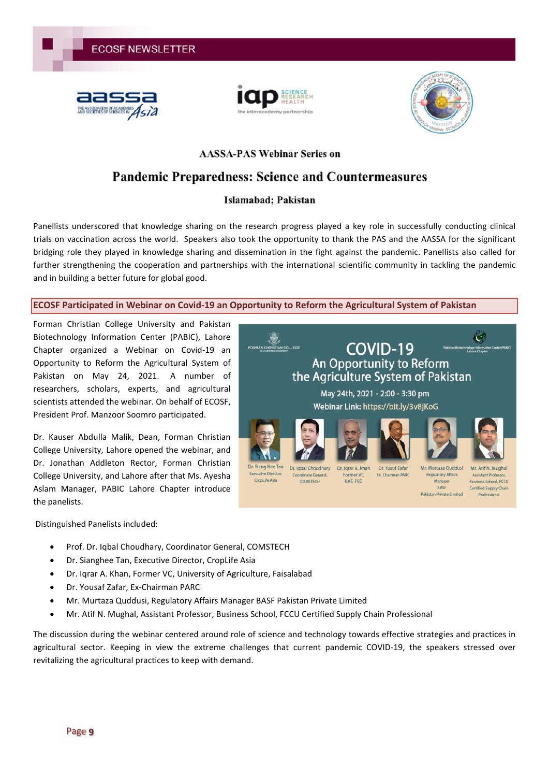





Pakistan Private Limited

## **AASSA-PAS Webinar Series on**

# **Pandemic Preparedness: Science and Countermeasures**

# Islamabad; Pakistan

Panellists underscored that knowledge sharing on the research progress played a key role in successfully conducting clinical trials on vaccination across the world. Speakers also took the opportunity to thank the PAS and the AASSA for the significant bridging role they played in knowledge sharing and dissemination in the fight against the pandemic. Panellists also called for further strengthening the cooperation and partnerships with the international scientific community in tackling the pandemic and in building a better future for global good.

## **ECOSF Participated in Webinar on Covid-19 an Opportunity to Reform the Agricultural System of Pakistan**

Forman Christian College University and Pakistan Biotechnology Information Center (PABIC), Lahore Chapter organized a Webinar on Covid-19 an Opportunity to Reform the Agricultural System of Pakistan on May 24, 2021. A number of researchers, scholars, experts, and agricultural scientists attended the webinar. On behalf of ECOSF, President Prof. Manzoor Soomro participated.

Dr. Kauser Abdulla Malik, Dean, Forman Christian College University, Lahore opened the webinar, and Dr. Jonathan Addleton Rector, Forman Christian College University, and Lahore after that Ms. Ayesha Aslam Manager, PABIC Lahore Chapter introduce the panelists.

Distinguished Panelists included:

- Prof. Dr. Iqbal Choudhary, Coordinator General, COMSTECH
- Dr. Sianghee Tan, Executive Director, CropLife Asia
- Dr. Iqrar A. Khan, Former VC, University of Agriculture, Faisalabad
- Dr. Yousaf Zafar, Ex-Chairman PARC
- Mr. Murtaza Quddusi, Regulatory Affairs Manager BASF Pakistan Private Limited
- Mr. Atif N. Mughal, Assistant Professor, Business School, FCCU Certified Supply Chain Professional

The discussion during the webinar centered around role of science and technology towards effective strategies and practices in agricultural sector. Keeping in view the extreme challenges that current pandemic COVID-19, the speakers stressed over revitalizing the agricultural practices to keep with demand.

![](_page_8_Picture_19.jpeg)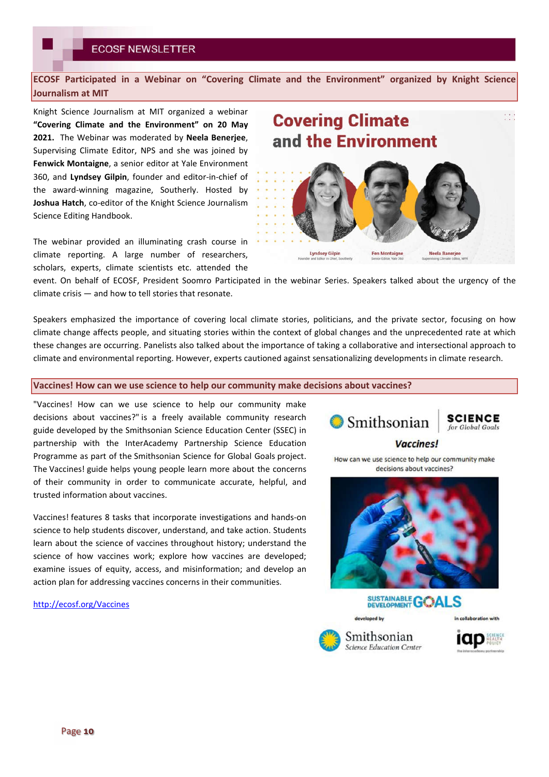**ECOSF Participated in a Webinar on "Covering Climate and the Environment" organized by Knight Science Journalism at MIT**

Knight Science Journalism at MIT organized a webinar **"Covering Climate and the Environment" on 20 May 2021.** The Webinar was moderated by **Neela Benerjee**, Supervising Climate Editor, NPS and she was joined by **Fenwick Montaigne**, a senior editor at Yale Environment 360, and **Lyndsey Gilpin**, founder and editor-in-chief of the award-winning magazine, Southerly. Hosted by **Joshua Hatch**, co-editor of the Knight Science Journalism Science Editing Handbook.

The webinar provided an illuminating crash course in climate reporting. A large number of researchers, scholars, experts, climate scientists etc. attended the **Covering Climate**  $\mathbb{R}^2$ and the Environment **Lyndsey Gilpir Fen Montaigne Neela Banerje** 

event. On behalf of ECOSF, President Soomro Participated in the webinar Series. Speakers talked about the urgency of the climate crisis — and how to tell stories that resonate.

Speakers emphasized the importance of covering local climate stories, politicians, and the private sector, focusing on how climate change affects people, and situating stories within the context of global changes and the unprecedented rate at which these changes are occurring. Panelists also talked about the importance of taking a collaborative and intersectional approach to climate and environmental reporting. However, experts cautioned against sensationalizing developments in climate research.

#### **Vaccines! How can we use science to help our community make decisions about vaccines?**

"Vaccines! How can we use science to help our community make decisions about vaccines?" is a freely available community research guide developed by the Smithsonian Science Education Center (SSEC) in partnership with the InterAcademy Partnership Science Education Programme as part of the Smithsonian Science for Global Goals project. The Vaccines! guide helps young people learn more about the concerns of their community in order to communicate accurate, helpful, and trusted information about vaccines.

Vaccines! features 8 tasks that incorporate investigations and hands-on science to help students discover, understand, and take action. Students learn about the science of vaccines throughout history; understand the science of how vaccines work; explore how vaccines are developed; examine issues of equity, access, and misinformation; and develop an action plan for addressing vaccines concerns in their communities.

http://ecosf.org/Vaccines

**Smithsonian** 

**SCIENCE** for Global Goals

**Vaccines!** 

How can we use science to help our community make decisions about vaccines?

![](_page_9_Picture_15.jpeg)

![](_page_9_Picture_16.jpeg)

![](_page_9_Picture_17.jpeg)

![](_page_9_Picture_18.jpeg)

![](_page_9_Picture_19.jpeg)